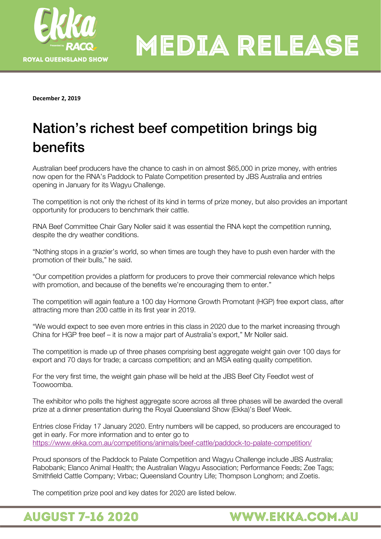

**December 2, 2019** 

## Nation's richest beef competition brings big benefits

Australian beef producers have the chance to cash in on almost \$65,000 in prize money, with entries now open for the RNA's Paddock to Palate Competition presented by JBS Australia and entries opening in January for its Wagyu Challenge.

The competition is not only the richest of its kind in terms of prize money, but also provides an important opportunity for producers to benchmark their cattle.

RNA Beef Committee Chair Gary Noller said it was essential the RNA kept the competition running, despite the dry weather conditions.

"Nothing stops in a grazier's world, so when times are tough they have to push even harder with the promotion of their bulls," he said.

"Our competition provides a platform for producers to prove their commercial relevance which helps with promotion, and because of the benefits we're encouraging them to enter."

The competition will again feature a 100 day Hormone Growth Promotant (HGP) free export class, after attracting more than 200 cattle in its first year in 2019.

"We would expect to see even more entries in this class in 2020 due to the market increasing through China for HGP free beef – it is now a major part of Australia's export," Mr Noller said.

The competition is made up of three phases comprising best aggregate weight gain over 100 days for export and 70 days for trade; a carcass competition; and an MSA eating quality competition.

For the very first time, the weight gain phase will be held at the JBS Beef City Feedlot west of Toowoomba.

The exhibitor who polls the highest aggregate score across all three phases will be awarded the overall prize at a dinner presentation during the Royal Queensland Show (Ekka)'s Beef Week.

Entries close Friday 17 January 2020. Entry numbers will be capped, so producers are encouraged to get in early. For more information and to enter go to <https://www.ekka.com.au/competitions/animals/beef-cattle/paddock-to-palate-competition/>

Proud sponsors of the Paddock to Palate Competition and Wagyu Challenge include JBS Australia; Rabobank; Elanco Animal Health; the Australian Wagyu Association; Performance Feeds; Zee Tags; Smithfield Cattle Company; Virbac; Queensland Country Life; Thompson Longhorn; and Zoetis.

**WWW.EKKA.COM.AU** 

The competition prize pool and key dates for 2020 are listed below.

**AUGUST 7-16 2020**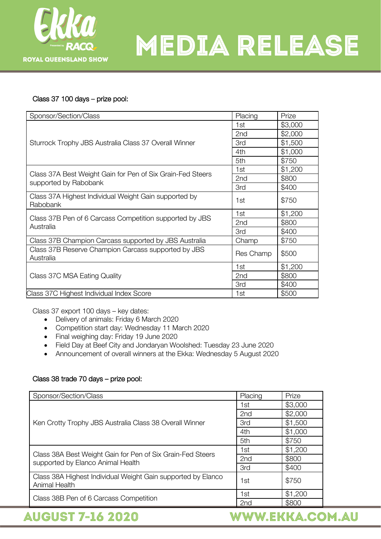

#### Class 37 100 days – prize pool:

| Sponsor/Section/Class                                                | Placing    | Prize   |
|----------------------------------------------------------------------|------------|---------|
| Sturrock Trophy JBS Australia Class 37 Overall Winner                | 1st        | \$3,000 |
|                                                                      | 2nd        | \$2,000 |
|                                                                      | 3rd        | \$1,500 |
|                                                                      | 4th        | \$1,000 |
|                                                                      | 5th        | \$750   |
| Class 37A Best Weight Gain for Pen of Six Grain-Fed Steers           | 1st        | \$1,200 |
|                                                                      | 2nd        | \$800   |
| supported by Rabobank                                                | <b>3rd</b> | \$400   |
| Class 37A Highest Individual Weight Gain supported by<br>Rabobank    | 1st        | \$750   |
| Class 37B Pen of 6 Carcass Competition supported by JBS<br>Australia | 1st        | \$1,200 |
|                                                                      | 2nd        | \$800   |
|                                                                      | 3rd        | \$400   |
| Class 37B Champion Carcass supported by JBS Australia                | Champ      | \$750   |
| Class 37B Reserve Champion Carcass supported by JBS<br>Australia     | Res Champ  | \$500   |
| Class 37C MSA Eating Quality                                         | 1st        | \$1,200 |
|                                                                      | 2nd        | \$800   |
|                                                                      | 3rd        | \$400   |
| Class 37C Highest Individual Index Score                             | 1st        | \$500   |

Class 37 export 100 days – key dates:

- Delivery of animals: Friday 6 March 2020
- Competition start day: Wednesday 11 March 2020
- Final weighing day: Friday 19 June 2020
- Field Day at Beef City and Jondaryan Woolshed: Tuesday 23 June 2020
- Announcement of overall winners at the Ekka: Wednesday 5 August 2020

#### Class 38 trade 70 days – prize pool:

| Sponsor/Section/Class                                                                           | Placing         | Prize   |
|-------------------------------------------------------------------------------------------------|-----------------|---------|
| Ken Crotty Trophy JBS Australia Class 38 Overall Winner                                         | 1st             | \$3,000 |
|                                                                                                 | 2 <sub>nd</sub> | \$2,000 |
|                                                                                                 | 3rd             | \$1,500 |
|                                                                                                 | 4th             | \$1,000 |
|                                                                                                 | 5th             | \$750   |
| Class 38A Best Weight Gain for Pen of Six Grain-Fed Steers<br>supported by Elanco Animal Health | 1st             | \$1,200 |
|                                                                                                 | 2nd             | \$800   |
|                                                                                                 | 3rd             | \$400   |
| Class 38A Highest Individual Weight Gain supported by Elanco<br>Animal Health                   | 1st             | \$750   |
| Class 38B Pen of 6 Carcass Competition                                                          | 1st             | \$1,200 |
|                                                                                                 | 2 <sub>nd</sub> | \$800   |

### **AUGUST 7-16 2020**

WWW.EKKA.COM.AU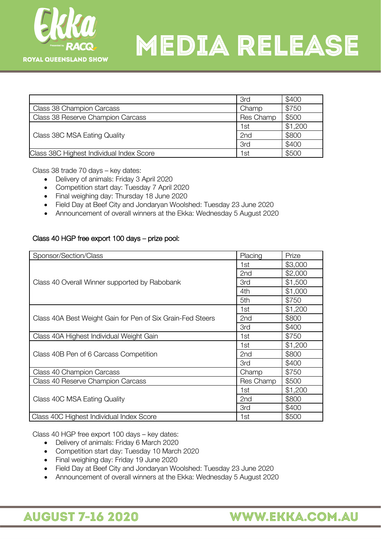

|                                          | 3rd        | \$400   |
|------------------------------------------|------------|---------|
| Class 38 Champion Carcass                | Champ      | \$750   |
| Class 38 Reserve Champion Carcass        | Res Champ  | \$500   |
| Class 38C MSA Eating Quality             | 1st        | \$1,200 |
|                                          | 2nd        | \$800   |
|                                          | <b>3rd</b> | \$400   |
| Class 38C Highest Individual Index Score | 1st        | \$500   |

Class 38 trade 70 days – key dates:

- Delivery of animals: Friday 3 April 2020
- Competition start day: Tuesday 7 April 2020
- Final weighing day: Thursday 18 June 2020
- Field Day at Beef City and Jondaryan Woolshed: Tuesday 23 June 2020
- Announcement of overall winners at the Ekka: Wednesday 5 August 2020

#### Class 40 HGP free export 100 days – prize pool:

| Sponsor/Section/Class                                      | Placing         | Prize   |
|------------------------------------------------------------|-----------------|---------|
| Class 40 Overall Winner supported by Rabobank              | 1st             | \$3,000 |
|                                                            | 2nd             | \$2,000 |
|                                                            | <b>3rd</b>      | \$1,500 |
|                                                            | 4th             | \$1,000 |
|                                                            | 5th             | \$750   |
| Class 40A Best Weight Gain for Pen of Six Grain-Fed Steers | 1st             | \$1,200 |
|                                                            | 2 <sub>nd</sub> | \$800   |
|                                                            | 3rd             | \$400   |
| Class 40A Highest Individual Weight Gain                   | 1st             | \$750   |
| Class 40B Pen of 6 Carcass Competition                     | 1st             | \$1,200 |
|                                                            | 2nd             | \$800   |
|                                                            | 3rd             | \$400   |
| Class 40 Champion Carcass                                  | Champ           | \$750   |
| Class 40 Reserve Champion Carcass                          | Res Champ       | \$500   |
| Class 40C MSA Eating Quality                               | 1st             | \$1,200 |
|                                                            | 2 <sub>nd</sub> | \$800   |
|                                                            | 3rd             | \$400   |
| Class 40C Highest Individual Index Score                   | 1st             | \$500   |

Class 40 HGP free export 100 days – key dates:

- Delivery of animals: Friday 6 March 2020
- Competition start day: Tuesday 10 March 2020
- Final weighing day: Friday 19 June 2020
- Field Day at Beef City and Jondaryan Woolshed: Tuesday 23 June 2020
- Announcement of overall winners at the Ekka: Wednesday 5 August 2020

### **AUGUST 7-16 2020**

### WWW.EKKA.COM.AU